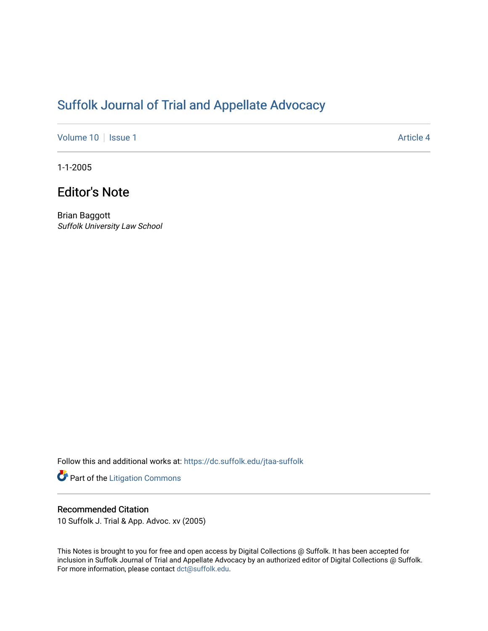## [Suffolk Journal of Trial and Appellate Advocacy](https://dc.suffolk.edu/jtaa-suffolk)

[Volume 10](https://dc.suffolk.edu/jtaa-suffolk/vol10) | [Issue 1](https://dc.suffolk.edu/jtaa-suffolk/vol10/iss1) Article 4

1-1-2005

## Editor's Note

Brian Baggott Suffolk University Law School

Follow this and additional works at: [https://dc.suffolk.edu/jtaa-suffolk](https://dc.suffolk.edu/jtaa-suffolk?utm_source=dc.suffolk.edu%2Fjtaa-suffolk%2Fvol10%2Fiss1%2F4&utm_medium=PDF&utm_campaign=PDFCoverPages) 

Part of the [Litigation Commons](https://network.bepress.com/hgg/discipline/910?utm_source=dc.suffolk.edu%2Fjtaa-suffolk%2Fvol10%2Fiss1%2F4&utm_medium=PDF&utm_campaign=PDFCoverPages)

## Recommended Citation

10 Suffolk J. Trial & App. Advoc. xv (2005)

This Notes is brought to you for free and open access by Digital Collections @ Suffolk. It has been accepted for inclusion in Suffolk Journal of Trial and Appellate Advocacy by an authorized editor of Digital Collections @ Suffolk. For more information, please contact [dct@suffolk.edu](mailto:dct@suffolk.edu).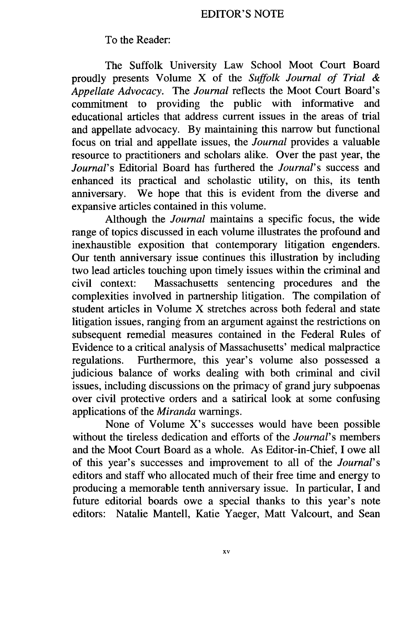## To the Reader:

The Suffolk University Law School Moot Court Board proudly presents Volume X of the *Suffolk Journal of Trial & Appellate Advocacy.* The *Journal* reflects the Moot Court Board's commitment to providing the public with informative and educational articles that address current issues in the areas of trial and appellate advocacy. By maintaining this narrow but functional focus on trial and appellate issues, the *Journal* provides a valuable resource to practitioners and scholars alike. Over the past year, the *Journal's* Editorial Board has furthered the *Journal's* success and enhanced its practical and scholastic utility, on this, its tenth anniversary. We hope that this is evident from the diverse and expansive articles contained in this volume.

Although the *Journal* maintains a specific focus, the wide range of topics discussed in each volume illustrates the profound and inexhaustible exposition that contemporary litigation engenders. Our tenth anniversary issue continues this illustration by including two lead articles touching upon timely issues within the criminal and civil context: Massachusetts sentencing procedures and the complexities involved in partnership litigation. The compilation of student articles in Volume X stretches across both federal and state litigation issues, ranging from an argument against the restrictions on subsequent remedial measures contained in the Federal Rules of Evidence to a critical analysis of Massachusetts' medical malpractice regulations. Furthermore, this year's volume also possessed a judicious balance of works dealing with both criminal and civil issues, including discussions on the primacy of grand jury subpoenas over civil protective orders and a satirical look at some confusing applications of the *Miranda* warnings.

None of Volume X's successes would have been possible without the tireless dedication and efforts of the *Journal's* members and the Moot Court Board as a whole. As Editor-in-Chief, I owe all of this year's successes and improvement to all of the *Journal's* editors and staff who allocated much of their free time and energy to producing a memorable tenth anniversary issue. In particular, I and future editorial boards owe a special thanks to this year's note editors: Natalie Mantell, Katie Yaeger, Matt Valcourt, and Sean